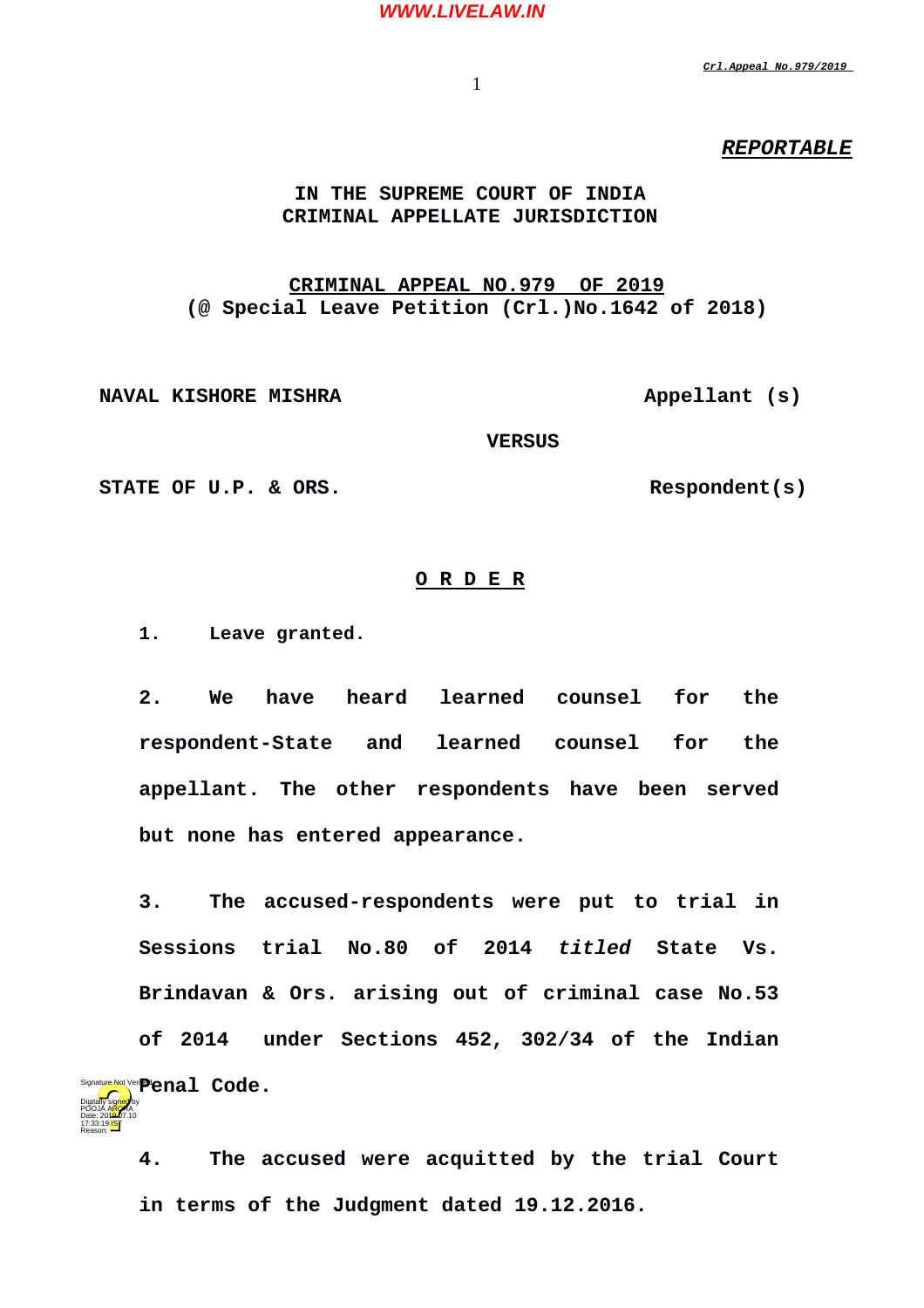#### **WWW.LIVELAW.IN**

*Crl.Appeal No.979/2019* 

1

## *REPORTABLE*

### **IN THE SUPREME COURT OF INDIA CRIMINAL APPELLATE JURISDICTION**

# **CRIMINAL APPEAL NO.979 OF 2019 (@ Special Leave Petition (Crl.)No.1642 of 2018)**

**NAVAL KISHORE MISHRA Appellant** (s)

 **VERSUS**

STATE OF U.P. & ORS. Respondent(s)

Date: 2010.07.10 17:33:19 IST Reason:

#### **O R D E R**

**1. Leave granted.**

**2. We have heard learned counsel for the respondent-State and learned counsel for the appellant. The other respondents have been served but none has entered appearance.**

**3. The accused-respondents were put to trial in Sessions trial No.80 of 2014** *titled* **State Vs. Brindavan & Ors. arising out of criminal case No.53 of 2014 under Sections 452, 302/34 of the Indian** Signature Not Veri**Pienal Code.** Digitally signed by POOJA A<mark>RO</mark>RA

**4. The accused were acquitted by the trial Court in terms of the Judgment dated 19.12.2016.**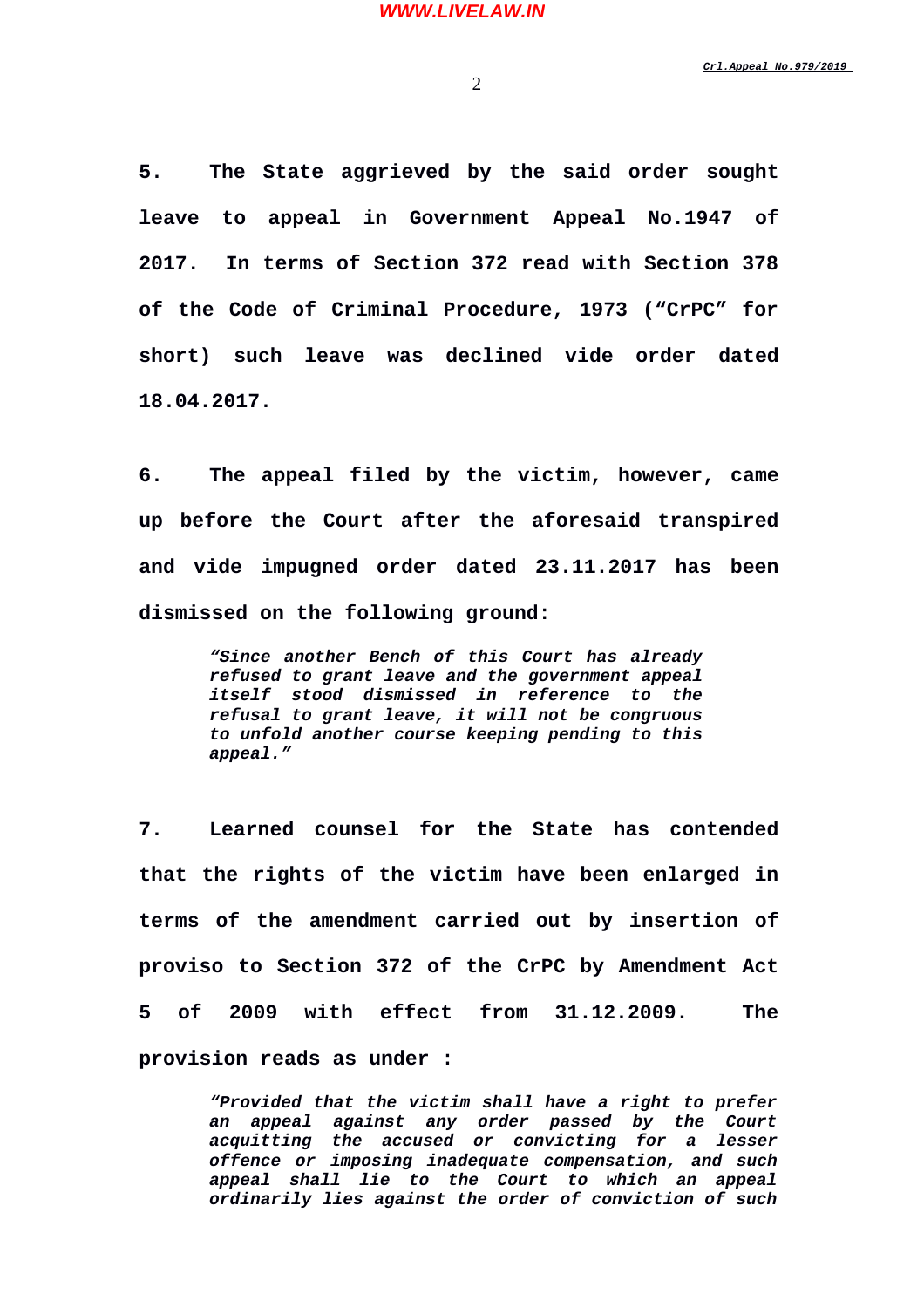**5. The State aggrieved by the said order sought leave to appeal in Government Appeal No.1947 of 2017. In terms of Section 372 read with Section 378 of the Code of Criminal Procedure, 1973 ("CrPC" for short) such leave was declined vide order dated 18.04.2017.**

**6. The appeal filed by the victim, however, came up before the Court after the aforesaid transpired and vide impugned order dated 23.11.2017 has been dismissed on the following ground:**

> *"Since another Bench of this Court has already refused to grant leave and the government appeal itself stood dismissed in reference to the refusal to grant leave, it will not be congruous to unfold another course keeping pending to this appeal."*

**7. Learned counsel for the State has contended that the rights of the victim have been enlarged in terms of the amendment carried out by insertion of proviso to Section 372 of the CrPC by Amendment Act 5 of 2009 with effect from 31.12.2009. The provision reads as under :**

> *"Provided that the victim shall have a right to prefer an appeal against any order passed by the Court acquitting the accused or convicting for a lesser offence or imposing inadequate compensation, and such appeal shall lie to the Court to which an appeal ordinarily lies against the order of conviction of such*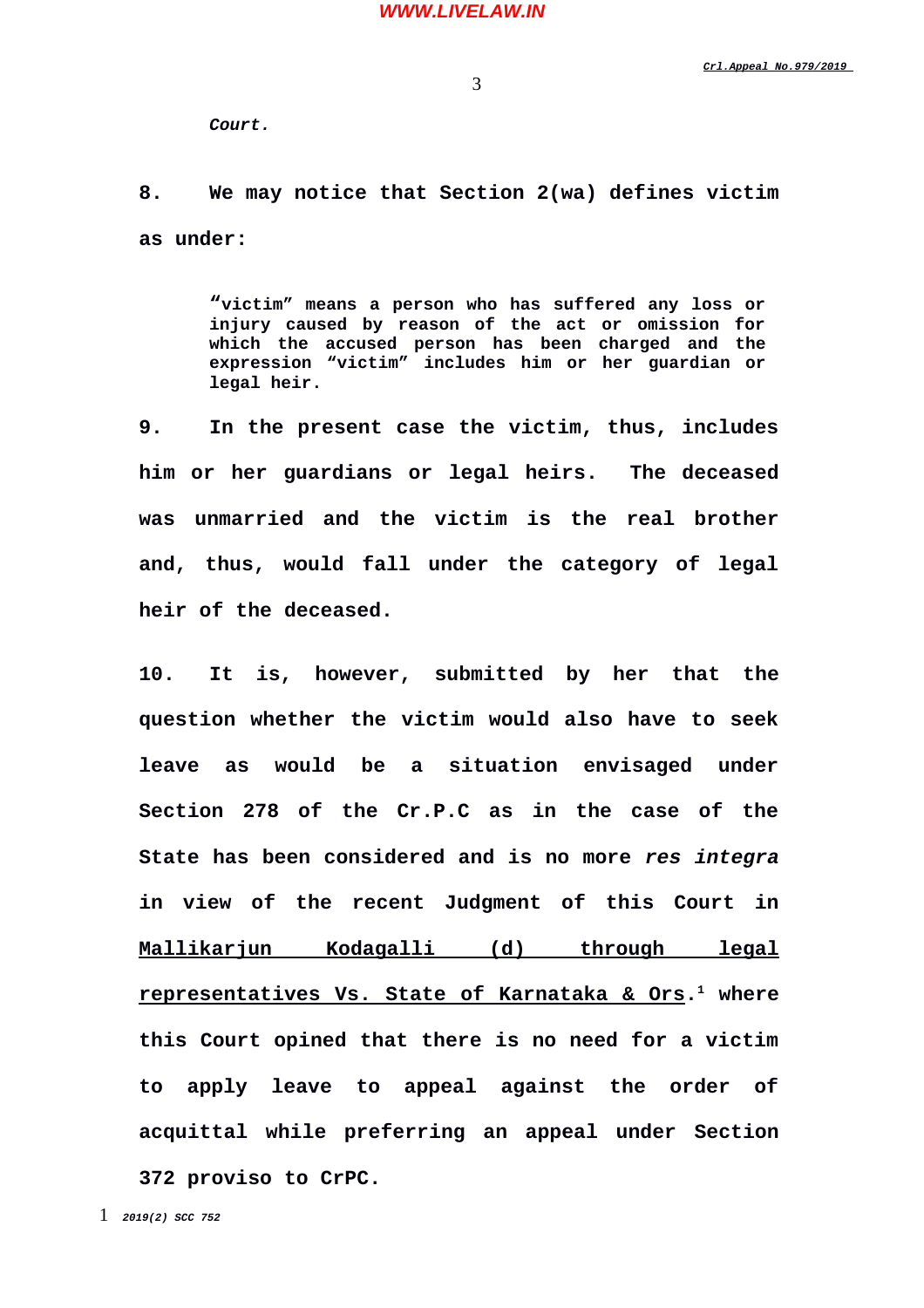3

*Court.*

**8. We may notice that Section 2(wa) defines victim as under:**

> **"victim" means a person who has suffered any loss or injury caused by reason of the act or omission for which the accused person has been charged and the expression "victim" includes him or her guardian or legal heir.**

**9. In the present case the victim, thus, includes him or her guardians or legal heirs. The deceased was unmarried and the victim is the real brother and, thus, would fall under the category of legal heir of the deceased.**

<span id="page-2-0"></span>**10. It is, however, submitted by her that the question whether the victim would also have to seek leave as would be a situation envisaged under Section 278 of the Cr.P.C as in the case of the State has been considered and is no more** *res integra* **in view of the recent Judgment of this Court in Mallikarjun Kodagalli (d) through legal representatives Vs. State of Karnataka & Ors. [1](#page-2-0) where this Court opined that there is no need for a victim to apply leave to appeal against the order of acquittal while preferring an appeal under Section 372 proviso to CrPC.**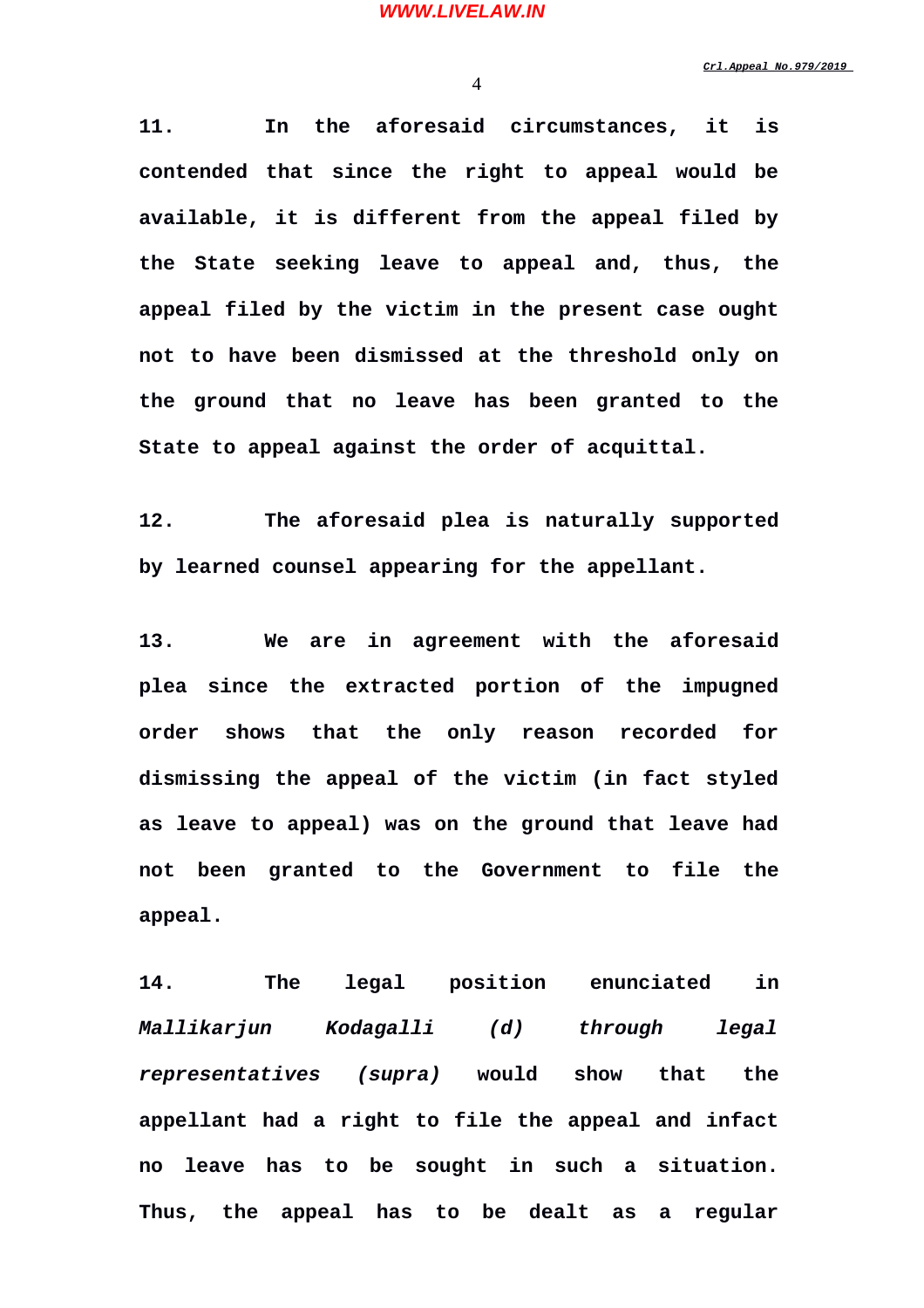4

**11. In the aforesaid circumstances, it is contended that since the right to appeal would be available, it is different from the appeal filed by the State seeking leave to appeal and, thus, the appeal filed by the victim in the present case ought not to have been dismissed at the threshold only on the ground that no leave has been granted to the State to appeal against the order of acquittal.**

**12. The aforesaid plea is naturally supported by learned counsel appearing for the appellant.**

**13. We are in agreement with the aforesaid plea since the extracted portion of the impugned order shows that the only reason recorded for dismissing the appeal of the victim (in fact styled as leave to appeal) was on the ground that leave had not been granted to the Government to file the appeal.**

**14. The legal position enunciated in** *Mallikarjun Kodagalli (d) through legal representatives (supra)* **would show that the appellant had a right to file the appeal and infact no leave has to be sought in such a situation. Thus, the appeal has to be dealt as a regular**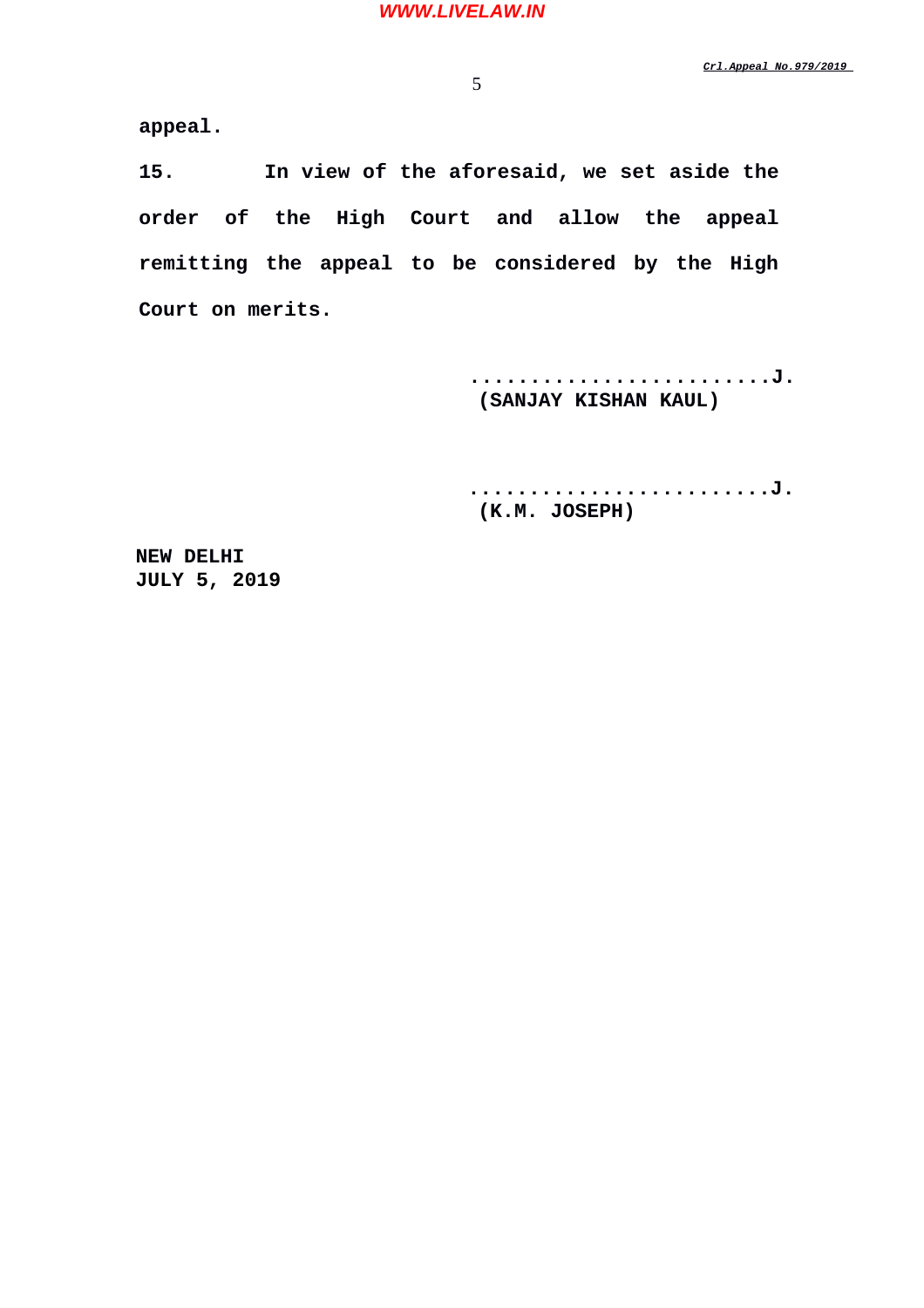**appeal.** 

**15. In view of the aforesaid, we set aside the order of the High Court and allow the appeal remitting the appeal to be considered by the High Court on merits.**

> **.........................J. (SANJAY KISHAN KAUL)**

> **.........................J. (K.M. JOSEPH)**

 **NEW DELHI JULY 5, 2019**